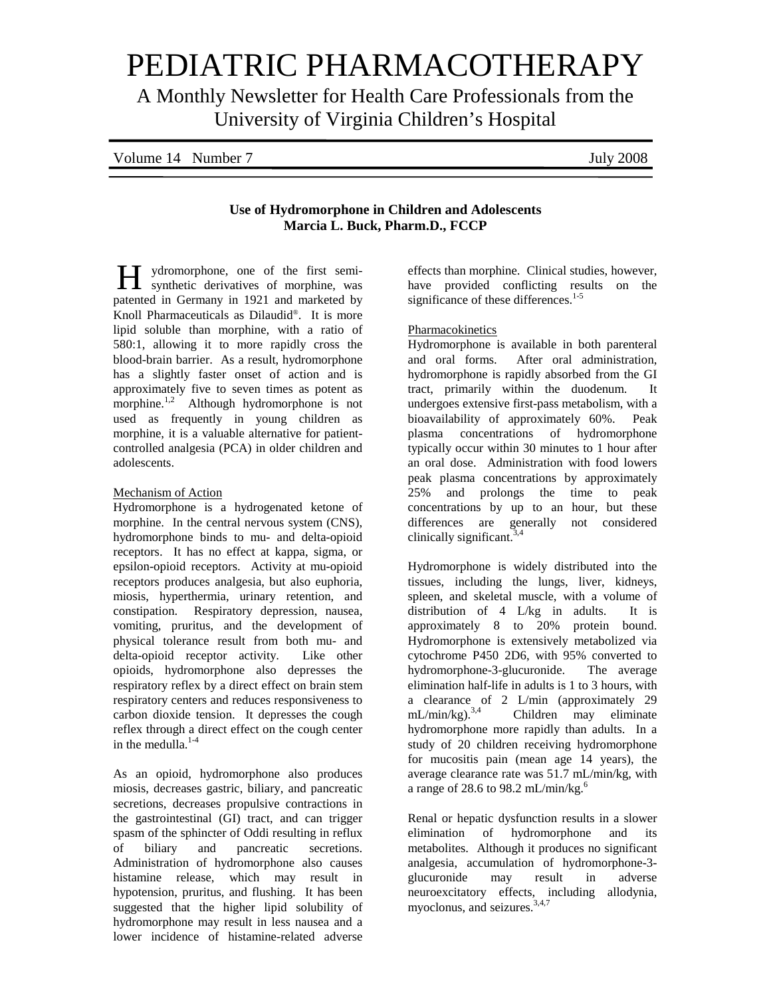# PEDIATRIC PHARMACOTHERAPY

A Monthly Newsletter for Health Care Professionals from the University of Virginia Children's Hospital

| $\overline{ }$<br>Volume,<br>-14<br>Number | 2008<br>$\overline{\text{ln}}\text{lv}$ |
|--------------------------------------------|-----------------------------------------|
|                                            |                                         |

# **Use of Hydromorphone in Children and Adolescents Marcia L. Buck, Pharm.D., FCCP**

ydromorphone, one of the first semisynthetic derivatives of morphine, was Hpatented in Germany in 1921 and marketed by Knoll Pharmaceuticals as Dilaudid®. It is more lipid soluble than morphine, with a ratio of 580:1, allowing it to more rapidly cross the blood-brain barrier. As a result, hydromorphone has a slightly faster onset of action and is approximately five to seven times as potent as morphine.<sup>1,2</sup> Although hydromorphone is not used as frequently in young children as morphine, it is a valuable alternative for patientcontrolled analgesia (PCA) in older children and adolescents.

# Mechanism of Action

Hydromorphone is a hydrogenated ketone of morphine. In the central nervous system (CNS), hydromorphone binds to mu- and delta-opioid receptors. It has no effect at kappa, sigma, or epsilon-opioid receptors. Activity at mu-opioid receptors produces analgesia, but also euphoria, miosis, hyperthermia, urinary retention, and constipation. Respiratory depression, nausea, vomiting, pruritus, and the development of physical tolerance result from both mu- and delta-opioid receptor activity. Like other opioids, hydromorphone also depresses the respiratory reflex by a direct effect on brain stem respiratory centers and reduces responsiveness to carbon dioxide tension. It depresses the cough reflex through a direct effect on the cough center in the medulla $^{1-4}$ 

As an opioid, hydromorphone also produces miosis, decreases gastric, biliary, and pancreatic secretions, decreases propulsive contractions in the gastrointestinal (GI) tract, and can trigger spasm of the sphincter of Oddi resulting in reflux of biliary and pancreatic secretions. Administration of hydromorphone also causes histamine release, which may result in hypotension, pruritus, and flushing. It has been suggested that the higher lipid solubility of hydromorphone may result in less nausea and a lower incidence of histamine-related adverse

effects than morphine. Clinical studies, however, have provided conflicting results on the significance of these differences.<sup>1-5</sup>

#### Pharmacokinetics

Hydromorphone is available in both parenteral and oral forms. After oral administration, hydromorphone is rapidly absorbed from the GI tract, primarily within the duodenum. It undergoes extensive first-pass metabolism, with a bioavailability of approximately 60%. Peak plasma concentrations of hydromorphone typically occur within 30 minutes to 1 hour after an oral dose. Administration with food lowers peak plasma concentrations by approximately 25% and prolongs the time to peak concentrations by up to an hour, but these differences are generally not considered clinically significant.<sup>3,4</sup>

Hydromorphone is widely distributed into the tissues, including the lungs, liver, kidneys, spleen, and skeletal muscle, with a volume of distribution of 4 L/kg in adults. It is approximately 8 to 20% protein bound. Hydromorphone is extensively metabolized via cytochrome P450 2D6, with 95% converted to hydromorphone-3-glucuronide. The average elimination half-life in adults is 1 to 3 hours, with a clearance of 2 L/min (approximately 29 mL/min/kg).<sup>3,4</sup> Children may eliminate Children may eliminate hydromorphone more rapidly than adults. In a study of 20 children receiving hydromorphone for mucositis pain (mean age 14 years), the average clearance rate was 51.7 mL/min/kg, with a range of 28.6 to 98.2 mL/min/kg. $^{6}$ 

Renal or hepatic dysfunction results in a slower elimination of hydromorphone and its metabolites. Although it produces no significant analgesia, accumulation of hydromorphone-3 glucuronide may result in adverse neuroexcitatory effects, including allodynia, myoclonus, and seizures.<sup>3,4,7</sup>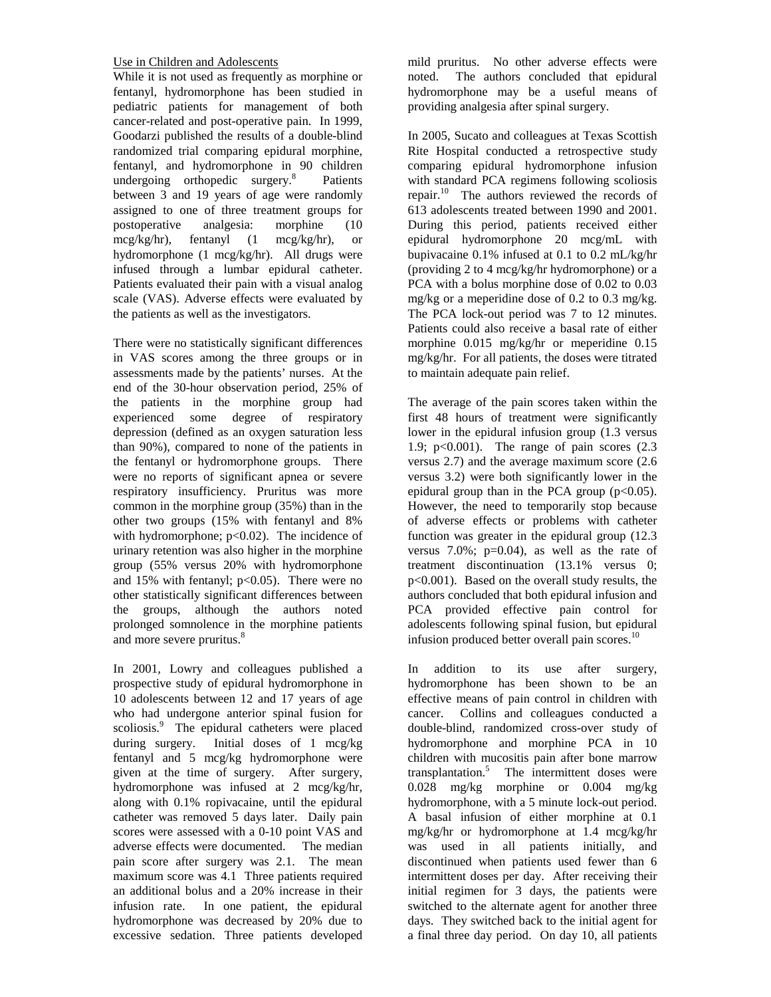# Use in Children and Adolescents

While it is not used as frequently as morphine or fentanyl, hydromorphone has been studied in pediatric patients for management of both cancer-related and post-operative pain. In 1999, Goodarzi published the results of a double-blind randomized trial comparing epidural morphine, fentanyl, and hydromorphone in 90 children undergoing orthopedic surgery.<sup>8</sup> Patients between 3 and 19 years of age were randomly assigned to one of three treatment groups for postoperative analgesia: morphine (10 mcg/kg/hr), fentanyl (1 mcg/kg/hr), or hydromorphone (1 mcg/kg/hr). All drugs were infused through a lumbar epidural catheter. Patients evaluated their pain with a visual analog scale (VAS). Adverse effects were evaluated by the patients as well as the investigators.

There were no statistically significant differences in VAS scores among the three groups or in assessments made by the patients' nurses. At the end of the 30-hour observation period, 25% of the patients in the morphine group had experienced some degree of respiratory depression (defined as an oxygen saturation less than 90%), compared to none of the patients in the fentanyl or hydromorphone groups. There were no reports of significant apnea or severe respiratory insufficiency. Pruritus was more common in the morphine group (35%) than in the other two groups (15% with fentanyl and 8% with hydromorphone;  $p<0.02$ ). The incidence of urinary retention was also higher in the morphine group (55% versus 20% with hydromorphone and 15% with fentanyl; p<0.05). There were no other statistically significant differences between the groups, although the authors noted prolonged somnolence in the morphine patients and more severe pruritus.<sup>8</sup>

In 2001, Lowry and colleagues published a prospective study of epidural hydromorphone in 10 adolescents between 12 and 17 years of age who had undergone anterior spinal fusion for scoliosis.<sup>9</sup> The epidural catheters were placed during surgery. Initial doses of 1 mcg/kg fentanyl and 5 mcg/kg hydromorphone were given at the time of surgery. After surgery, hydromorphone was infused at 2 mcg/kg/hr, along with 0.1% ropivacaine, until the epidural catheter was removed 5 days later. Daily pain scores were assessed with a 0-10 point VAS and adverse effects were documented. The median pain score after surgery was 2.1. The mean maximum score was 4.1 Three patients required an additional bolus and a 20% increase in their infusion rate. In one patient, the epidural hydromorphone was decreased by 20% due to excessive sedation. Three patients developed

mild pruritus. No other adverse effects were noted. The authors concluded that epidural hydromorphone may be a useful means of providing analgesia after spinal surgery.

In 2005, Sucato and colleagues at Texas Scottish Rite Hospital conducted a retrospective study comparing epidural hydromorphone infusion with standard PCA regimens following scoliosis repair.10 The authors reviewed the records of 613 adolescents treated between 1990 and 2001. During this period, patients received either epidural hydromorphone 20 mcg/mL with bupivacaine 0.1% infused at 0.1 to 0.2 mL/kg/hr (providing 2 to 4 mcg/kg/hr hydromorphone) or a PCA with a bolus morphine dose of 0.02 to 0.03 mg/kg or a meperidine dose of 0.2 to 0.3 mg/kg. The PCA lock-out period was 7 to 12 minutes. Patients could also receive a basal rate of either morphine 0.015 mg/kg/hr or meperidine 0.15 mg/kg/hr. For all patients, the doses were titrated to maintain adequate pain relief.

The average of the pain scores taken within the first 48 hours of treatment were significantly lower in the epidural infusion group (1.3 versus 1.9;  $p<0.001$ ). The range of pain scores  $(2.3)$ versus 2.7) and the average maximum score (2.6 versus 3.2) were both significantly lower in the epidural group than in the PCA group  $(p<0.05)$ . However, the need to temporarily stop because of adverse effects or problems with catheter function was greater in the epidural group (12.3 versus  $7.0\%$ ;  $p=0.04$ ), as well as the rate of treatment discontinuation (13.1% versus 0; p<0.001). Based on the overall study results, the authors concluded that both epidural infusion and PCA provided effective pain control for adolescents following spinal fusion, but epidural infusion produced better overall pain scores.<sup>10</sup>

In addition to its use after surgery, hydromorphone has been shown to be an effective means of pain control in children with cancer. Collins and colleagues conducted a double-blind, randomized cross-over study of hydromorphone and morphine PCA in 10 children with mucositis pain after bone marrow transplantation.<sup>5</sup> The intermittent doses were 0.028 mg/kg morphine or 0.004 mg/kg hydromorphone, with a 5 minute lock-out period. A basal infusion of either morphine at 0.1 mg/kg/hr or hydromorphone at 1.4 mcg/kg/hr was used in all patients initially, and discontinued when patients used fewer than 6 intermittent doses per day. After receiving their initial regimen for 3 days, the patients were switched to the alternate agent for another three days. They switched back to the initial agent for a final three day period. On day 10, all patients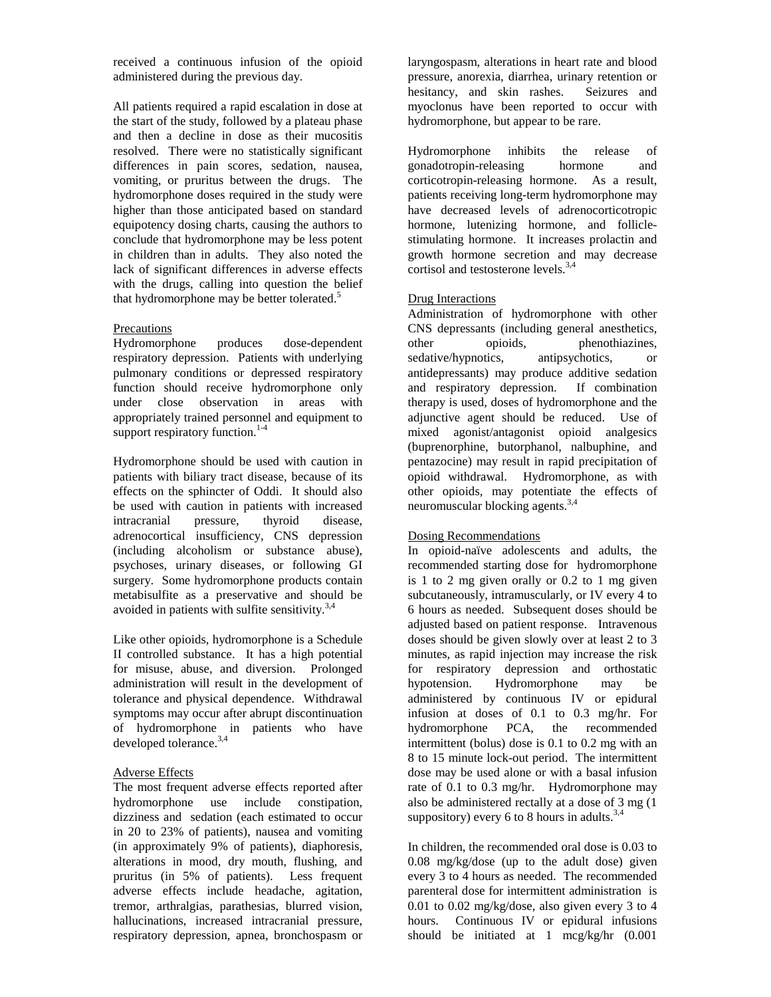received a continuous infusion of the opioid administered during the previous day.

All patients required a rapid escalation in dose at the start of the study, followed by a plateau phase and then a decline in dose as their mucositis resolved. There were no statistically significant differences in pain scores, sedation, nausea, vomiting, or pruritus between the drugs. The hydromorphone doses required in the study were higher than those anticipated based on standard equipotency dosing charts, causing the authors to conclude that hydromorphone may be less potent in children than in adults. They also noted the lack of significant differences in adverse effects with the drugs, calling into question the belief that hydromorphone may be better tolerated.<sup>5</sup>

## **Precautions**

Hydromorphone produces dose-dependent respiratory depression. Patients with underlying pulmonary conditions or depressed respiratory function should receive hydromorphone only under close observation in areas with appropriately trained personnel and equipment to support respiratory function. $1-4$ 

Hydromorphone should be used with caution in patients with biliary tract disease, because of its effects on the sphincter of Oddi. It should also be used with caution in patients with increased intracranial pressure, thyroid disease, adrenocortical insufficiency, CNS depression (including alcoholism or substance abuse), psychoses, urinary diseases, or following GI surgery. Some hydromorphone products contain metabisulfite as a preservative and should be avoided in patients with sulfite sensitivity.<sup>3,4</sup>

Like other opioids, hydromorphone is a Schedule II controlled substance. It has a high potential for misuse, abuse, and diversion. Prolonged administration will result in the development of tolerance and physical dependence. Withdrawal symptoms may occur after abrupt discontinuation of hydromorphone in patients who have developed tolerance.<sup>3,4</sup>

#### Adverse Effects

The most frequent adverse effects reported after hydromorphone use include constipation, dizziness and sedation (each estimated to occur in 20 to 23% of patients), nausea and vomiting (in approximately 9% of patients), diaphoresis, alterations in mood, dry mouth, flushing, and pruritus (in 5% of patients). Less frequent adverse effects include headache, agitation, tremor, arthralgias, parathesias, blurred vision, hallucinations, increased intracranial pressure, respiratory depression, apnea, bronchospasm or

laryngospasm, alterations in heart rate and blood pressure, anorexia, diarrhea, urinary retention or hesitancy, and skin rashes. Seizures and myoclonus have been reported to occur with hydromorphone, but appear to be rare.

Hydromorphone inhibits the release of gonadotropin-releasing hormone and corticotropin-releasing hormone. As a result, patients receiving long-term hydromorphone may have decreased levels of adrenocorticotropic hormone, lutenizing hormone, and folliclestimulating hormone. It increases prolactin and growth hormone secretion and may decrease cortisol and testosterone levels.<sup>3,4</sup>

## Drug Interactions

Administration of hydromorphone with other CNS depressants (including general anesthetics, other opioids, phenothiazines, sedative/hypnotics, antipsychotics, or antidepressants) may produce additive sedation and respiratory depression. If combination therapy is used, doses of hydromorphone and the adjunctive agent should be reduced. Use of mixed agonist/antagonist opioid analgesics (buprenorphine, butorphanol, nalbuphine, and pentazocine) may result in rapid precipitation of opioid withdrawal. Hydromorphone, as with other opioids, may potentiate the effects of neuromuscular blocking agents.3,4

#### Dosing Recommendations

In opioid-naïve adolescents and adults, the recommended starting dose for hydromorphone is 1 to 2 mg given orally or 0.2 to 1 mg given subcutaneously, intramuscularly, or IV every 4 to 6 hours as needed. Subsequent doses should be adjusted based on patient response. Intravenous doses should be given slowly over at least 2 to 3 minutes, as rapid injection may increase the risk for respiratory depression and orthostatic hypotension. Hydromorphone may be administered by continuous IV or epidural infusion at doses of 0.1 to 0.3 mg/hr. For hydromorphone PCA, the recommended intermittent (bolus) dose is 0.1 to 0.2 mg with an 8 to 15 minute lock-out period. The intermittent dose may be used alone or with a basal infusion rate of 0.1 to 0.3 mg/hr. Hydromorphone may also be administered rectally at a dose of 3 mg (1 suppository) every 6 to 8 hours in adults. $3,4$ 

In children, the recommended oral dose is 0.03 to 0.08 mg/kg/dose (up to the adult dose) given every 3 to 4 hours as needed. The recommended parenteral dose for intermittent administration is 0.01 to 0.02 mg/kg/dose, also given every 3 to 4 hours. Continuous IV or epidural infusions should be initiated at 1 mcg/kg/hr (0.001